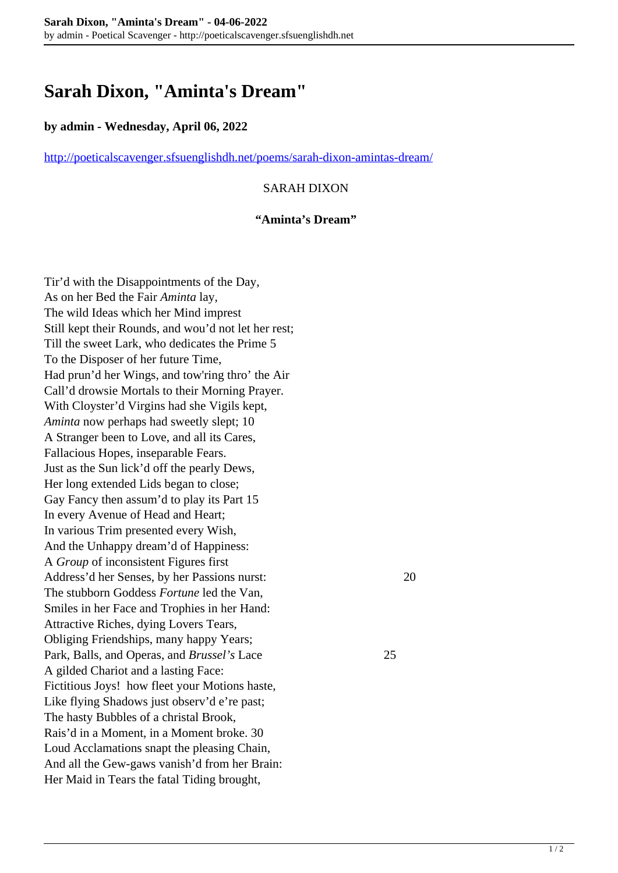# **Sarah Dixon, "Aminta's Dream"**

## **by admin - Wednesday, April 06, 2022**

<http://poeticalscavenger.sfsuenglishdh.net/poems/sarah-dixon-amintas-dream/>

## SARAH DIXON

#### **"Aminta's Dream"**

Tir'd with the Disappointments of the Day, As on her Bed the Fair *Aminta* lay, The wild Ideas which her Mind imprest Still kept their Rounds, and wou'd not let her rest; Till the sweet Lark, who dedicates the Prime 5 To the Disposer of her future Time, Had prun'd her Wings, and tow'ring thro' the Air Call'd drowsie Mortals to their Morning Prayer. With Cloyster'd Virgins had she Vigils kept, *Aminta* now perhaps had sweetly slept; 10 A Stranger been to Love, and all its Cares, Fallacious Hopes, inseparable Fears. Just as the Sun lick'd off the pearly Dews, Her long extended Lids began to close; Gay Fancy then assum'd to play its Part 15 In every Avenue of Head and Heart; In various Trim presented every Wish, And the Unhappy dream'd of Happiness: A *Group* of inconsistent Figures first Address'd her Senses, by her Passions nurst: 20 The stubborn Goddess *Fortune* led the Van, Smiles in her Face and Trophies in her Hand: Attractive Riches, dying Lovers Tears, Obliging Friendships, many happy Years; Park, Balls, and Operas, and *Brussel's* Lace 25 A gilded Chariot and a lasting Face: Fictitious Joys! how fleet your Motions haste, Like flying Shadows just observ'd e're past; The hasty Bubbles of a christal Brook, Rais'd in a Moment, in a Moment broke. 30 Loud Acclamations snapt the pleasing Chain, And all the Gew-gaws vanish'd from her Brain: Her Maid in Tears the fatal Tiding brought,